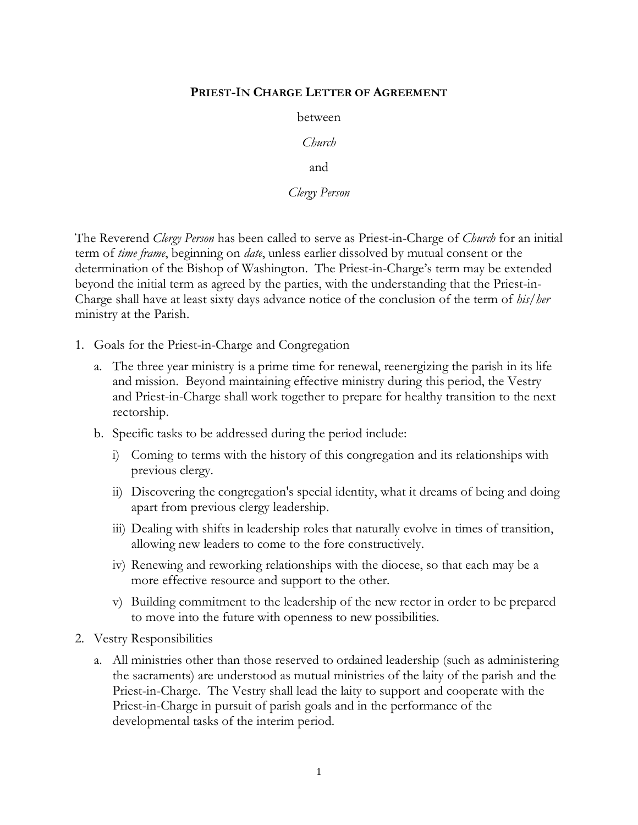## **PRIEST-IN CHARGE LETTER OF AGREEMENT**

between

*Church*

and

*Clergy Person*

The Reverend *Clergy Person* has been called to serve as Priest-in-Charge of *Church* for an initial term of *time frame*, beginning on *date*, unless earlier dissolved by mutual consent or the determination of the Bishop of Washington. The Priest-in-Charge's term may be extended beyond the initial term as agreed by the parties, with the understanding that the Priest-in-Charge shall have at least sixty days advance notice of the conclusion of the term of *his/her* ministry at the Parish.

- 1. Goals for the Priest-in-Charge and Congregation
	- a. The three year ministry is a prime time for renewal, reenergizing the parish in its life and mission. Beyond maintaining effective ministry during this period, the Vestry and Priest-in-Charge shall work together to prepare for healthy transition to the next rectorship.
	- b. Specific tasks to be addressed during the period include:
		- i) Coming to terms with the history of this congregation and its relationships with previous clergy.
		- ii) Discovering the congregation's special identity, what it dreams of being and doing apart from previous clergy leadership.
		- iii) Dealing with shifts in leadership roles that naturally evolve in times of transition, allowing new leaders to come to the fore constructively.
		- iv) Renewing and reworking relationships with the diocese, so that each may be a more effective resource and support to the other.
		- v) Building commitment to the leadership of the new rector in order to be prepared to move into the future with openness to new possibilities.
- 2. Vestry Responsibilities
	- a. All ministries other than those reserved to ordained leadership (such as administering the sacraments) are understood as mutual ministries of the laity of the parish and the Priest-in-Charge. The Vestry shall lead the laity to support and cooperate with the Priest-in-Charge in pursuit of parish goals and in the performance of the developmental tasks of the interim period.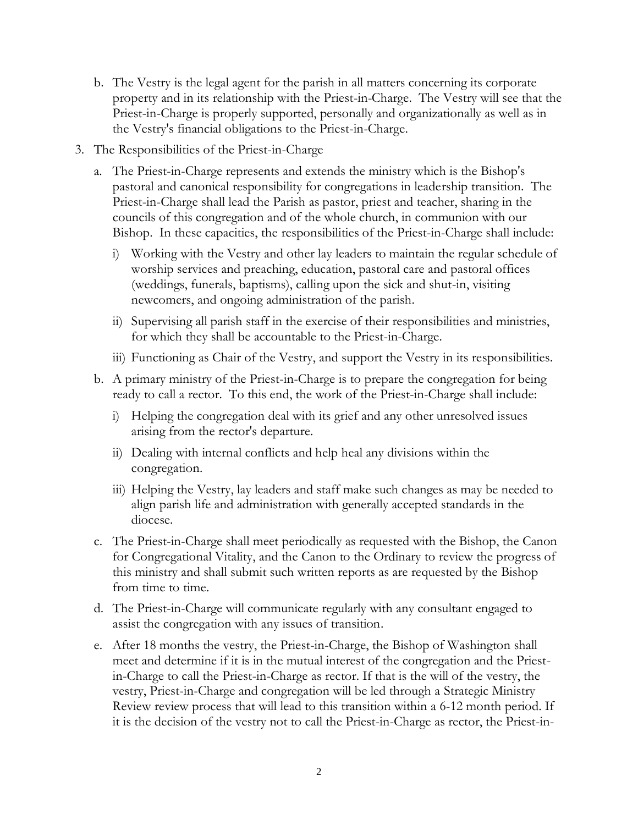- b. The Vestry is the legal agent for the parish in all matters concerning its corporate property and in its relationship with the Priest-in-Charge. The Vestry will see that the Priest-in-Charge is properly supported, personally and organizationally as well as in the Vestry's financial obligations to the Priest-in-Charge.
- 3. The Responsibilities of the Priest-in-Charge
	- a. The Priest-in-Charge represents and extends the ministry which is the Bishop's pastoral and canonical responsibility for congregations in leadership transition. The Priest-in-Charge shall lead the Parish as pastor, priest and teacher, sharing in the councils of this congregation and of the whole church, in communion with our Bishop. In these capacities, the responsibilities of the Priest-in-Charge shall include:
		- i) Working with the Vestry and other lay leaders to maintain the regular schedule of worship services and preaching, education, pastoral care and pastoral offices (weddings, funerals, baptisms), calling upon the sick and shut-in, visiting newcomers, and ongoing administration of the parish.
		- ii) Supervising all parish staff in the exercise of their responsibilities and ministries, for which they shall be accountable to the Priest-in-Charge.
		- iii) Functioning as Chair of the Vestry, and support the Vestry in its responsibilities.
	- b. A primary ministry of the Priest-in-Charge is to prepare the congregation for being ready to call a rector. To this end, the work of the Priest-in-Charge shall include:
		- i) Helping the congregation deal with its grief and any other unresolved issues arising from the rector's departure.
		- ii) Dealing with internal conflicts and help heal any divisions within the congregation.
		- iii) Helping the Vestry, lay leaders and staff make such changes as may be needed to align parish life and administration with generally accepted standards in the diocese.
	- c. The Priest-in-Charge shall meet periodically as requested with the Bishop, the Canon for Congregational Vitality, and the Canon to the Ordinary to review the progress of this ministry and shall submit such written reports as are requested by the Bishop from time to time.
	- d. The Priest-in-Charge will communicate regularly with any consultant engaged to assist the congregation with any issues of transition.
	- e. After 18 months the vestry, the Priest-in-Charge, the Bishop of Washington shall meet and determine if it is in the mutual interest of the congregation and the Priestin-Charge to call the Priest-in-Charge as rector. If that is the will of the vestry, the vestry, Priest-in-Charge and congregation will be led through a Strategic Ministry Review review process that will lead to this transition within a 6-12 month period. If it is the decision of the vestry not to call the Priest-in-Charge as rector, the Priest-in-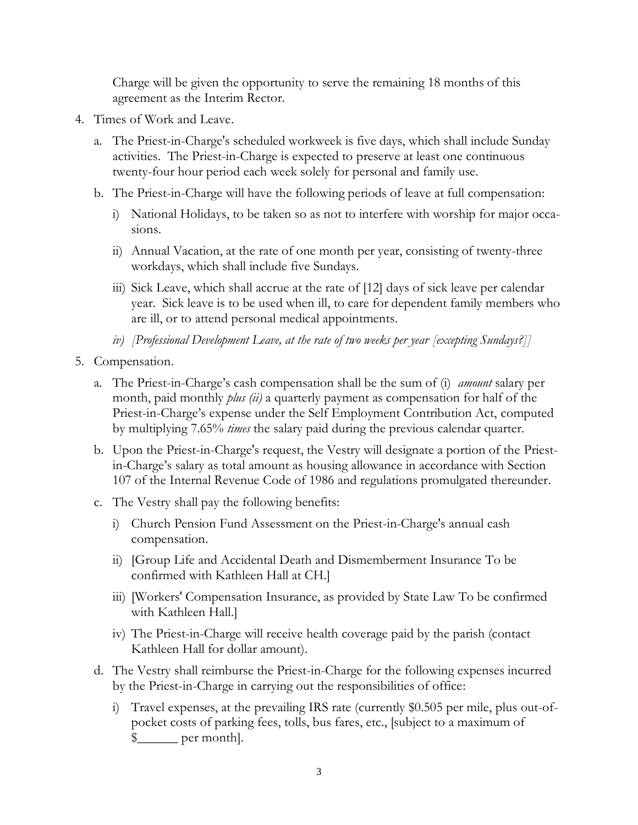Charge will be given the opportunity to serve the remaining 18 months of this agreement as the Interim Rector.

- 4. Times of Work and Leave.
	- a. The Priest-in-Charge's scheduled workweek is five days, which shall include Sunday activities. The Priest-in-Charge is expected to preserve at least one continuous twenty-four hour period each week solely for personal and family use.
	- b. The Priest-in-Charge will have the following periods of leave at full compensation:
		- i) National Holidays, to be taken so as not to interfere with worship for major occasions.
		- ii) Annual Vacation, at the rate of one month per year, consisting of twenty-three workdays, which shall include five Sundays.
		- iii) Sick Leave, which shall accrue at the rate of [12] days of sick leave per calendar year. Sick leave is to be used when ill, to care for dependent family members who are ill, or to attend personal medical appointments.
		- *iv) [Professional Development Leave, at the rate of two weeks per year [excepting Sundays?]]*
- 5. Compensation.
	- a. The Priest-in-Charge's cash compensation shall be the sum of (i) *amount* salary per month, paid monthly *plus (ii)* a quarterly payment as compensation for half of the Priest-in-Charge's expense under the Self Employment Contribution Act, computed by multiplying 7.65% *times* the salary paid during the previous calendar quarter.
	- b. Upon the Priest-in-Charge's request, the Vestry will designate a portion of the Priestin-Charge's salary as total amount as housing allowance in accordance with Section 107 of the Internal Revenue Code of 1986 and regulations promulgated thereunder.
	- c. The Vestry shall pay the following benefits:
		- i) Church Pension Fund Assessment on the Priest-in-Charge's annual cash compensation.
		- ii) [Group Life and Accidental Death and Dismemberment Insurance To be confirmed with Kathleen Hall at CH.]
		- iii) [Workers' Compensation Insurance, as provided by State Law To be confirmed with Kathleen Hall.]
		- iv) The Priest-in-Charge will receive health coverage paid by the parish (contact Kathleen Hall for dollar amount).
	- d. The Vestry shall reimburse the Priest-in-Charge for the following expenses incurred by the Priest-in-Charge in carrying out the responsibilities of office:
		- i) Travel expenses, at the prevailing IRS rate (currently \$0.505 per mile, plus out-ofpocket costs of parking fees, tolls, bus fares, etc., [subject to a maximum of  $\frac{1}{2}$  per month.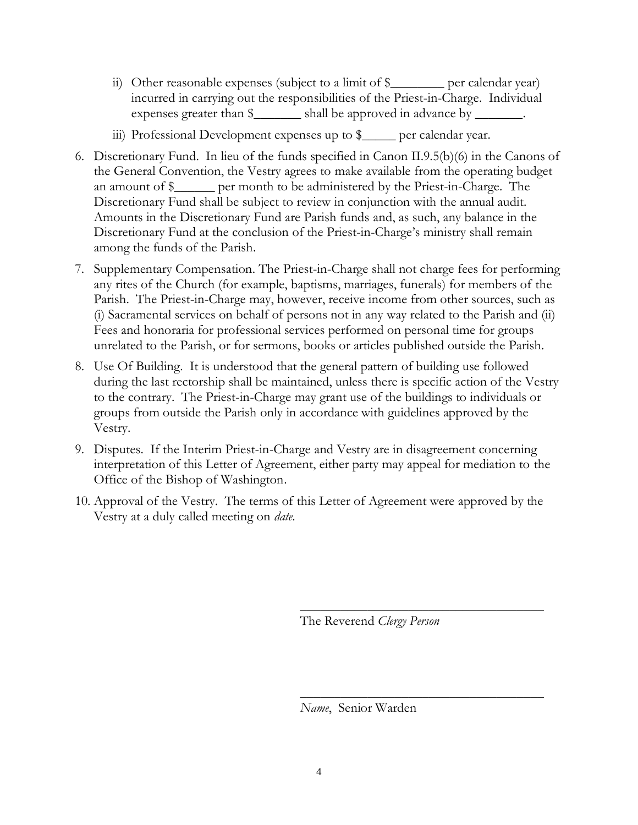- ii) Other reasonable expenses (subject to a limit of \$\_\_\_\_\_\_\_\_ per calendar year) incurred in carrying out the responsibilities of the Priest-in-Charge. Individual expenses greater than  $\frac{1}{2}$  shall be approved in advance by  $\frac{1}{2}$
- iii) Professional Development expenses up to \$\_\_\_\_\_ per calendar year.
- 6. Discretionary Fund. In lieu of the funds specified in Canon II.9.5(b)(6) in the Canons of the General Convention, the Vestry agrees to make available from the operating budget an amount of \$\_\_\_\_\_\_ per month to be administered by the Priest-in-Charge. The Discretionary Fund shall be subject to review in conjunction with the annual audit. Amounts in the Discretionary Fund are Parish funds and, as such, any balance in the Discretionary Fund at the conclusion of the Priest-in-Charge's ministry shall remain among the funds of the Parish.
- 7. Supplementary Compensation. The Priest-in-Charge shall not charge fees for performing any rites of the Church (for example, baptisms, marriages, funerals) for members of the Parish. The Priest-in-Charge may, however, receive income from other sources, such as (i) Sacramental services on behalf of persons not in any way related to the Parish and (ii) Fees and honoraria for professional services performed on personal time for groups unrelated to the Parish, or for sermons, books or articles published outside the Parish.
- 8. Use Of Building. It is understood that the general pattern of building use followed during the last rectorship shall be maintained, unless there is specific action of the Vestry to the contrary. The Priest-in-Charge may grant use of the buildings to individuals or groups from outside the Parish only in accordance with guidelines approved by the Vestry.
- 9. Disputes. If the Interim Priest-in-Charge and Vestry are in disagreement concerning interpretation of this Letter of Agreement, either party may appeal for mediation to the Office of the Bishop of Washington.
- 10. Approval of the Vestry. The terms of this Letter of Agreement were approved by the Vestry at a duly called meeting on *date*.

The Reverend *Clergy Person*

\_\_\_\_\_\_\_\_\_\_\_\_\_\_\_\_\_\_\_\_\_\_\_\_\_\_\_\_\_\_\_\_\_\_\_\_

\_\_\_\_\_\_\_\_\_\_\_\_\_\_\_\_\_\_\_\_\_\_\_\_\_\_\_\_\_\_\_\_\_\_\_\_

*Name*, Senior Warden